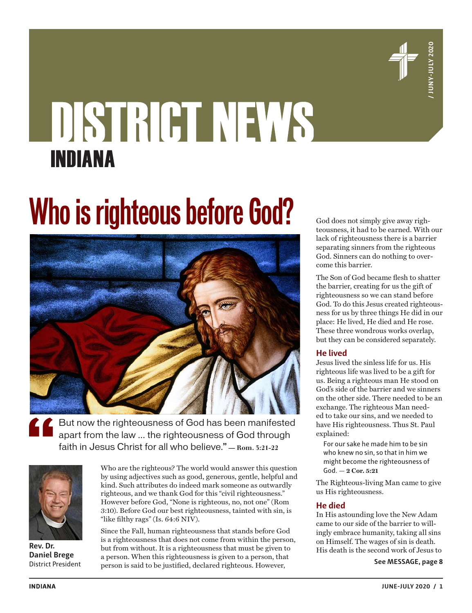

# DISTRICT NEWS INDIANA

# **Who is righteous before God?**



But now the righteousness of God has been manifested apart from the law … the righteousness of God through faith in Jesus Christ for all who believe." **— Rom. 3:21-22**



**Rev. Dr. Daniel Brege** District President

Who are the righteous? The world would answer this question by using adjectives such as good, generous, gentle, helpful and kind. Such attributes do indeed mark someone as outwardly righteous, and we thank God for this "civil righteousness." However before God, "None is righteous, no, not one" (Rom 3:10). Before God our best righteousness, tainted with sin, is "like filthy rags" (Is. 64:6 NIV).

Since the Fall, human righteousness that stands before God is a righteousness that does not come from within the person, but from without. It is a righteousness that must be given to a person. When this righteousness is given to a person, that person is said to be justified, declared righteous. However,

God does not simply give away righteousness, it had to be earned. With our lack of righteousness there is a barrier separating sinners from the righteous God. Sinners can do nothing to overcome this barrier.

The Son of God became flesh to shatter the barrier, creating for us the gift of righteousness so we can stand before God. To do this Jesus created righteousness for us by three things He did in our place: He lived, He died and He rose. These three wondrous works overlap, but they can be considered separately.

#### **He lived**

Jesus lived the sinless life for us. His righteous life was lived to be a gift for us. Being a righteous man He stood on God's side of the barrier and we sinners on the other side. There needed to be an exchange. The righteous Man needed to take our sins, and we needed to have His righteousness. Thus St. Paul explained:

For our sake he made him to be sin who knew no sin, so that in him we might become the righteousness of God. **— 2 Cor. 5:21**

The Righteous-living Man came to give us His righteousness.

#### **He died**

In His astounding love the New Adam came to our side of the barrier to willingly embrace humanity, taking all sins on Himself. The wages of sin is death. His death is the second work of Jesus to

**See MESSAGE, page 8**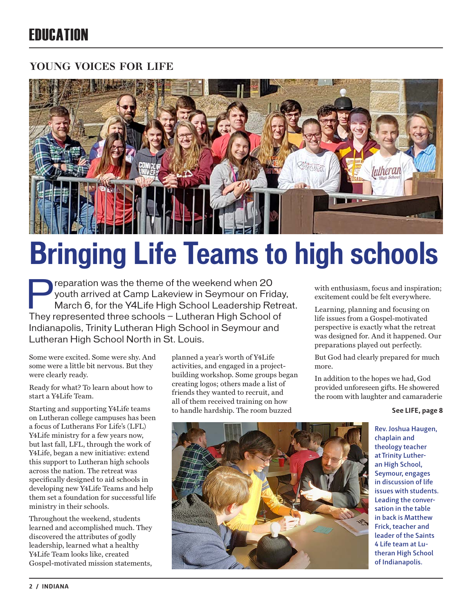## **FRIICATION**

#### **young voices for life**



# **Bringing Life Teams to high schools**

Preparation was the theme of the weekend when 20<br>youth arrived at Camp Lakeview in Seymour on Fric<br>March 6, for the Y4Life High School Leadership Re youth arrived at Camp Lakeview in Seymour on Friday, March 6, for the Y4Life High School Leadership Retreat. They represented three schools — Lutheran High School of Indianapolis, Trinity Lutheran High School in Seymour and Lutheran High School North in St. Louis.

Some were excited. Some were shy. And some were a little bit nervous. But they were clearly ready.

Ready for what? To learn about how to start a Y4Life Team.

Starting and supporting Y4Life teams on Lutheran college campuses has been a focus of Lutherans For Life's (LFL) Y4Life ministry for a few years now, but last fall, LFL, through the work of Y4Life, began a new initiative: extend this support to Lutheran high schools across the nation. The retreat was specifically designed to aid schools in developing new Y4Life Teams and help them set a foundation for successful life ministry in their schools.

Throughout the weekend, students learned and accomplished much. They discovered the attributes of godly leadership, learned what a healthy Y4Life Team looks like, created Gospel-motivated mission statements,

planned a year's worth of Y4Life activities, and engaged in a projectbuilding workshop. Some groups began creating logos; others made a list of friends they wanted to recruit, and all of them received training on how to handle hardship. The room buzzed

with enthusiasm, focus and inspiration; excitement could be felt everywhere.

Learning, planning and focusing on life issues from a Gospel-motivated perspective is exactly what the retreat was designed for. And it happened. Our preparations played out perfectly.

But God had clearly prepared for much more.

In addition to the hopes we had, God provided unforeseen gifts. He showered the room with laughter and camaraderie

#### **See LIFE, page 8**



**Rev. Joshua Haugen, chaplain and theology teacher at Trinity Lutheran High School, Seymour, engages in discussion of life issues with students. Leading the conversation in the table in back is Matthew Frick, teacher and leader of the Saints 4 Life team at Lutheran High School of Indianapolis.**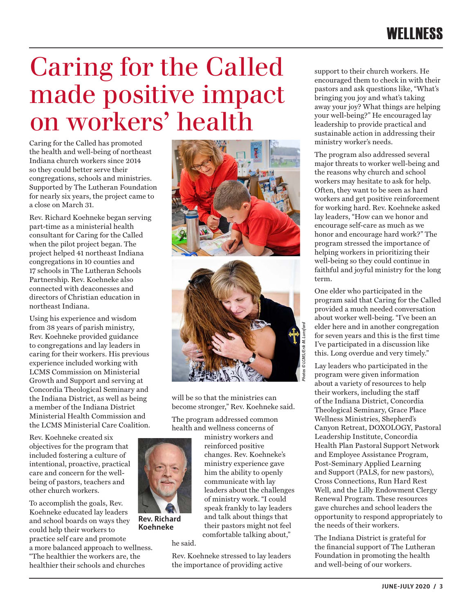## Caring for the Called made positive impact on workers' health

Caring for the Called has promoted the health and well-being of northeast Indiana church workers since 2014 so they could better serve their congregations, schools and ministries. Supported by The Lutheran Foundation for nearly six years, the project came to a close on March 31.

Rev. Richard Koehneke began serving part-time as a ministerial health consultant for Caring for the Called when the pilot project began. The project helped 41 northeast Indiana congregations in 10 counties and 17 schools in The Lutheran Schools Partnership. Rev. Koehneke also connected with deaconesses and directors of Christian education in northeast Indiana.

Using his experience and wisdom from 38 years of parish ministry, Rev. Koehneke provided guidance to congregations and lay leaders in caring for their workers. His previous experience included working with LCMS Commission on Ministerial Growth and Support and serving at Concordia Theological Seminary and the Indiana District, as well as being a member of the Indiana District Ministerial Health Commission and the LCMS Ministerial Care Coalition.

Rev. Koehneke created six objectives for the program that included fostering a culture of intentional, proactive, practical care and concern for the wellbeing of pastors, teachers and other church workers.

To accomplish the goals, Rev. Koehneke educated lay leaders and school boards on ways they could help their workers to practice self care and promote a more balanced approach to wellness. "The healthier the workers are, the healthier their schools and churches





will be so that the ministries can become stronger," Rev. Koehneke said.

> ministry workers and reinforced positive changes. Rev. Koehneke's ministry experience gave him the ability to openly communicate with lay leaders about the challenges of ministry work. "I could speak frankly to lay leaders and talk about things that their pastors might not feel comfortable talking about,"

The program addressed common health and wellness concerns of



**Rev. Richard Koehneke**

he said.

Rev. Koehneke stressed to lay leaders the importance of providing active

support to their church workers. He encouraged them to check in with their pastors and ask questions like, "What's bringing you joy and what's taking away your joy? What things are helping your well-being?" He encouraged lay leadership to provide practical and sustainable action in addressing their ministry worker's needs.

The program also addressed several major threats to worker well-being and the reasons why church and school workers may hesitate to ask for help. Often, they want to be seen as hard workers and get positive reinforcement for working hard. Rev. Koehneke asked lay leaders, "How can we honor and encourage self-care as much as we honor and encourage hard work?" The program stressed the importance of helping workers in prioritizing their well-being so they could continue in faithful and joyful ministry for the long term.

One elder who participated in the program said that Caring for the Called provided a much needed conversation about worker well-being. "I've been an elder here and in another congregation for seven years and this is the first time I've participated in a discussion like this. Long overdue and very timely."

Lay leaders who participated in the program were given information about a variety of resources to help their workers, including the staff of the Indiana District, Concordia Theological Seminary, Grace Place Wellness Ministries, Shepherd's Canyon Retreat, DOXOLOGY, Pastoral Leadership Institute, Concordia Health Plan Pastoral Support Network and Employee Assistance Program, Post-Seminary Applied Learning and Support (PALS, for new pastors), Cross Connections, Run Hard Rest Well, and the Lilly Endowment Clergy Renewal Program. These resources gave churches and school leaders the opportunity to respond appropriately to the needs of their workers.

The Indiana District is grateful for the financial support of The Lutheran Foundation in promoting the health and well-being of our workers.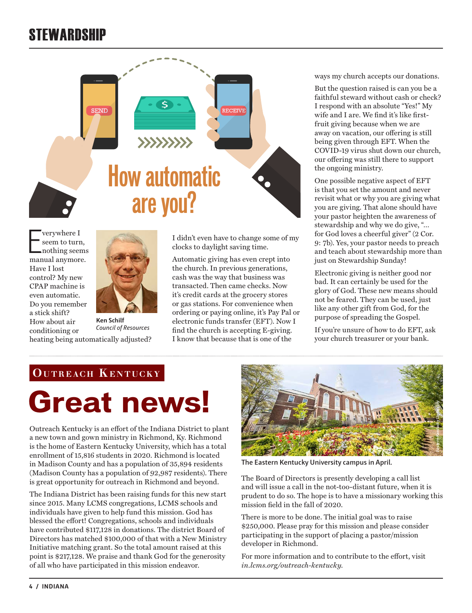## **STEWARDSHIP**



 $\begin{tabular}{ l} \hline \textbf{verywhere I} \\ \textbf{seem to turn,} \\ \textbf{nothing seems} \\ \textbf{manuel anymore.} \end{tabular}$ verywhere I seem to turn, nothing seems Have I lost control? My new CPAP machine is even automatic. Do you remember a stick shift? How about air conditioning or



**Ken Schilf** *Council of Resources* heating being automatically adjusted?

I didn't even have to change some of my clocks to daylight saving time.

Automatic giving has even crept into the church. In previous generations, cash was the way that business was transacted. Then came checks. Now it's credit cards at the grocery stores or gas stations. For convenience when ordering or paying online, it's Pay Pal or electronic funds transfer (EFT). Now I find the church is accepting E-giving. I know that because that is one of the

ways my church accepts our donations.

But the question raised is can you be a faithful steward without cash or check? I respond with an absolute "Yes!" My wife and I are. We find it's like firstfruit giving because when we are away on vacation, our offering is still being given through EFT. When the COVID-19 virus shut down our church, our offering was still there to support the ongoing ministry.

One possible negative aspect of EFT is that you set the amount and never revisit what or why you are giving what you are giving. That alone should have your pastor heighten the awareness of stewardship and why we do give, "… for God loves a cheerful giver" (2 Cor. 9: 7b). Yes, your pastor needs to preach and teach about stewardship more than just on Stewardship Sunday!

Electronic giving is neither good nor bad. It can certainly be used for the glory of God. These new means should not be feared. They can be used, just like any other gift from God, for the purpose of spreading the Gospel.

If you're unsure of how to do EFT, ask your church treasurer or your bank.

#### **OUTREACH KENTUCKY**

## **Great news!**

Outreach Kentucky is an effort of the Indiana District to plant a new town and gown ministry in Richmond, Ky. Richmond is the home of Eastern Kentucky University, which has a total enrollment of 15,816 students in 2020. Richmond is located in Madison County and has a population of 35,894 residents (Madison County has a population of 92,987 residents). There is great opportunity for outreach in Richmond and beyond.

The Indiana District has been raising funds for this new start since 2015. Many LCMS congregations, LCMS schools and individuals have given to help fund this mission. God has blessed the effort! Congregations, schools and individuals have contributed \$117,128 in donations. The district Board of Directors has matched \$100,000 of that with a New Ministry Initiative matching grant. So the total amount raised at this point is \$217,128. We praise and thank God for the generosity of all who have participated in this mission endeavor.



**The Eastern Kentucky University campus in April.**

The Board of Directors is presently developing a call list and will issue a call in the not-too-distant future, when it is prudent to do so. The hope is to have a missionary working this mission field in the fall of 2020.

There is more to be done. The initial goal was to raise \$250,000. Please pray for this mission and please consider participating in the support of placing a pastor/mission developer in Richmond.

For more information and to contribute to the effort, visit *in.lcms.org/outreach-kentucky.*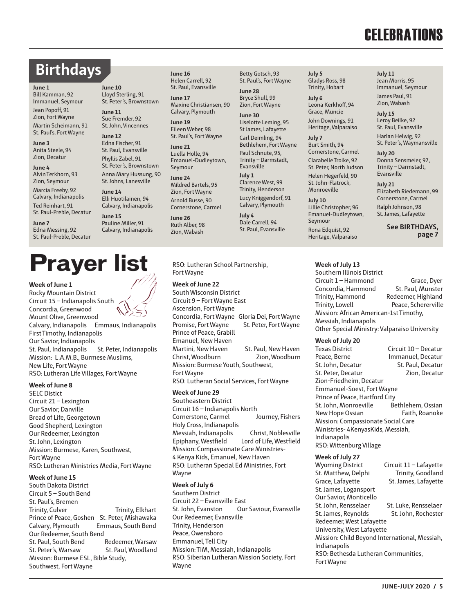## **CELEBRATIONS**

## **Birthdays**

**June 10** Lloyd Sterling, 91 St. Peter's, Brownstown

**June 11** Sue Fremder, 92 St. John, Vincennes

**June 12** Edna Fischer, 91 St. Paul, Evansville Phyllis Zabel, 91 St. Peter's, Brownstown Anna Mary Hussung, 90 St. Johns, Lanesville

**June 14**

**June 15** Pauline Miller, 91 Calvary, Indianapolis

Elli Huotilainen, 94 Calvary, Indianapolis

#### **June 1**

Bill Kamman, 92 Immanuel, Seymour Jean Popoff, 91

Zion, Fort Wayne Martin Scheimann, 91

St. Paul's, Fort Wayne **June 3**

Anita Steele, 94 Zion, Decatur

**June 4** Alvin Terkhorn, 93 Zion, Seymour Marcia Freeby, 92 Calvary, Indianapolis Ted Reinhart, 91

St. Paul-Preble, Decatur **June 7**

Edna Messing, 92 St. Paul-Preble, Decatur

## **Prayer list**

#### **Week of June 1**

Rocky Mountain District Circuit 15 – Indianapolis South Concordia, Greenwood Mount Olive, Greenwood Calvary, Indianapolis Emmaus, Indianapolis First Timothy, Indianapolis Our Savior, Indianapolis St. Paul, Indianapolis St. Peter, Indianapolis Mission: L.A.M.B., Burmese Muslims, New Life, Fort Wayne RSO: Lutheran Life Villages, Fort Wayne

#### **Week of June 8**

SELC Distict Circuit 21 – Lexington Our Savior, Danville Bread of Life, Georgetown Good Shepherd, Lexington Our Redeemer, Lexington St. John, Lexington Mission: Burmese, Karen, Southwest, Fort Wayne RSO: Lutheran Ministries Media, Fort Wayne

#### **Week of June 15**

South Dakota District Circuit 5 – South Bend St. Paul's, Bremen Trinity, Culver Trinity, Elkhart Prince of Peace, Goshen St. Peter, Mishawaka Calvary, Plymouth Emmaus, South Bend Our Redeemer, South Bend<br>St. Paul. South Bend Redeemer. Warsaw St. Paul, South Bend St. Peter's, Warsaw St. Paul, Woodland Mission: Burmese ESL, Bible Study, Southwest, Fort Wayne

**June 16** Helen Carrell, 92 St. Paul, Evansville

> **June 17** Maxine Christiansen, 90 Calvary, Plymouth

**June 19** Eileen Weber, 98 St. Paul's, Fort Wayne

**June 21** Luella Holle, 94 Emanuel-Dudleytown, Seymour

**June 24** Mildred Bartels, 95 Zion, Fort Wayne Arnold Busse, 90 Cornerstone, Carmel

**June 26** Ruth Alber, 98 Zion, Wabash

RSO: Lutheran School Partnership, Fort Wayne

**Week of June 22**

South Wisconsin District Circuit 9 – Fort Wayne East Ascension, Fort Wayne Concordia, Fort Wayne Gloria Dei, Fort Wayne Promise, Fort Wayne St. Peter, Fort Wayne Prince of Peace, Grabill Emanuel, New Haven Martini, New Haven St. Paul, New Haven Christ, Woodburn Zion, Woodburn Mission: Burmese Youth, Southwest, Fort Wayne RSO: Lutheran Social Services, Fort Wayne **Week of June 29**

Southeastern District Circuit 16 – Indianapolis North Cornerstone, Carmel Journey, Fishers Holy Cross, Indianapolis Messiah, Indianapolis Christ, Noblesville Epiphany, Westfield Lord of Life, Westfield Mission: Compassionate Care Ministries-4 Kenya Kids, Emanuel, New Haven RSO: Lutheran Special Ed Ministries, Fort Wayne

#### **Week of July 6**

Southern District Circuit 22 – Evansville East St. John, Evanston Our Saviour, Evansville Our Redeemer, Evansville Trinity, Henderson Peace, Owensboro Emmanuel, Tell City Mission: TIM, Messiah, Indianapolis RSO: Siberian Lutheran Mission Society, Fort Wayne

**July 5** Gladys Ross, 98 Trinity, Hobart

Leona Kerkhoff, 94 Grace, Muncie John Downings, 91 Heritage, Valparaiso

Burt Smith, 94

**July 10** Lillie Christopher, 96 Emanuel-Dudleytown, Seymour

#### **Week of July 13**

Southern Illinois District Circuit 1 – Hammond<br>Concordia. Hammond St. Paul. Munster Concordia, Hammond Trinity, Hammond Redeemer, Highland Trinity, Lowell Peace, Schererville Mission: African American-1st Timothy, Messiah, Indianapolis Other Special Ministry: Valparaiso University

### **Week of July 20**

Circuit 10 – Decatur Peace, Berne **Immanuel, Decatur<br>St. John, Decatur** St. Paul, Decatur St. John, Decatur<br>St. Peter. Decatur St. Paul, Decatur St. Peter, Decatur Zion-Friedheim, Decatur Emmanuel-Soest, Fort Wayne Prince of Peace, Hartford City St. John, Monroeville Bethlehem, Ossian New Hope Ossian Faith, Roanoke Mission: Compassionate Social Care Ministries- 4KenyasKids, Messiah, Indianapolis RSO: Wittenburg Village

#### **Week of July 27**

Wyoming District Circuit 11 – Lafayette St. Matthew, Delphi Trinity, Goodland Grace, Lafayette St. James, Lafayette St. James, Logansport Our Savior, Monticello St. John, Rensselaer St. Luke, Rensselaer<br>St. James. Revnolds St. John. Rochester St. James, Reynolds Redeemer, West Lafayette University, West Lafayette Mission: Child Beyond International, Messiah, Indianapolis RSO: Bethesda Lutheran Communities, Fort Wayne



St. Paul's, Fort Wayne **June 28** Bryce Shull, 99

Zion, Fort Wayne **June 30**

Betty Gotsch, 93

St James, Lafayette Carl Deimling, 94 Bethlehem, Fort Wayne Paul Schnute, 95, Trinity – Darmstadt,

**July 1** Clarence West, 99 Trinity, Henderson Lucy Kniggendorf, 91 Calvary, Plymouth

**July 4** Dale Carrell, 94 St. Paul, Evansville

**July 6**

Liselotte Leming, 95 Evansville

**July 7**

Cornerstone, Carmel Clarabelle Troike, 92 St. Peter, North Judson Helen Hegerfeld, 90 St. John-Flatrock, Monroeville

Rona Edquist, 92 Heritage, Valparaiso **July 11** Jean Morris, 95 Immanuel, Seymour

James Paul, 91 Zion, Wabash

**July 15** Leroy Beilke, 92 St. Paul, Evansville

Harlan Helwig, 92 St. Peter's, Waymansville

**July 20** Donna Sensmeier, 97, Trinity – Darmstadt, Evansville

**July 21** Elizabeth Riedemann, 99 Cornerstone, Carmel Ralph Johnson, 98 St. James, Lafayette

> **See BIRTHDAYS, page 7**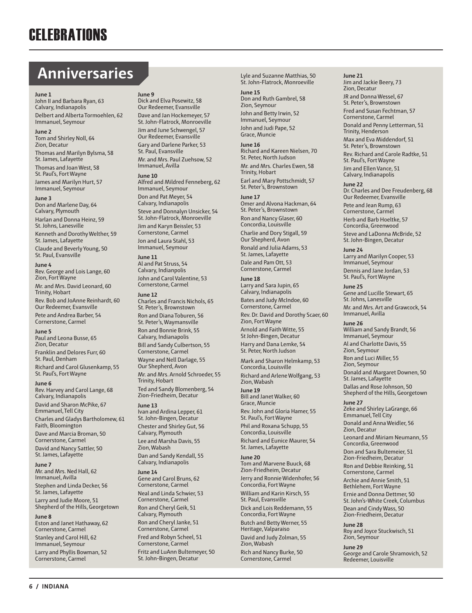## **Anniversaries**

#### **June 1**

John II and Barbara Ryan, 63 Calvary, Indianapolis Delbert and Alberta Tormoehlen, 62 Immanuel, Seymour

#### **June 2**

Tom and Shirley Noll, 64 Zion, Decatur Thomas and Marilyn Bylsma, 58 St. James, Lafayette Thomas and Joan West, 58 St. Paul's, Fort Wayne James and Marilyn Hurt, 57 Immanuel, Seymour

#### **June 3**

Don and Marlene Day, 64 Calvary, Plymouth Harlan and Donna Heinz, 59 St. Johns, Lanesville

Kenneth and Dorothy Welther, 59 St. James, Lafayette Claude and Beverly Young, 50 St. Paul, Evansville

#### **June 4**

Rev. George and Lois Lange, 60 Zion, Fort Wayne Mr. and Mrs. David Leonard, 60 Trinity, Hobart Rev. Bob and JoAnne Reinhardt, 60 Our Redeemer, Evansville Pete and Andrea Barber, 54 Cornerstone, Carmel

#### **June 5**

Paul and Leona Busse, 65 Zion, Decatur Franklin and Delores Furr, 60 St. Paul, Denham Richard and Carol Glusenkamp, 55 St. Paul's, Fort Wayne

#### **June 6**

Rev. Harvey and Carol Lange, 68 Calvary, Indianapolis David and Sharon McPike, 67 Emmanuel, Tell City Charles and Gladys Bartholomew, 61 Faith, Bloomington Dave and Marcia Broman, 50 Cornerstone, Carmel David and Nancy Sattler, 50 St. James, Lafayette

#### **June 7**

Mr. and Mrs. Ned Hall, 62 Immanuel, Avilla Stephen and Linda Decker, 56 St. James, Lafayette Larry and Judie Moore, 51 Shepherd of the Hills, Georgetown

#### **June 8**

Eston and Janet Hathaway, 62 Cornerstone, Carmel Stanley and Carol Hill, 62 Immanuel, Seymour Larry and Phyllis Bowman, 52 Cornerstone, Carmel

#### **June 9**

Dick and Elva Posewitz, 58 Our Redeemer, Evansville Dave and Jan Hockemeyer, 57 St. John-Flatrock, Monroeville Jim and June Schwengel, 57 Our Redeemer, Evansville Gary and Darlene Parker, 53 St. Paul, Evansville Mr. and Mrs. Paul Zuehsow, 52 Immanuel, Avilla

#### **June 10**

Alfred and Mildred Fenneberg, 62 Immanuel, Seymour Don and Pat Meyer, 54 Calvary, Indianapolis Steve and Donnalyn Unsicker, 54 St. John-Flatrock, Monroeville Jim and Karyn Beissler, 53 Cornerstone, Carmel Jon and Laura Stahl, 53 Immanuel, Seymour

**June 11** Al and Pat Struss, 54 Calvary, Indianpolis John and Carol Valentine, 53 Cornerstone, Carmel

#### **June 12**

Charles and Francis Nichols, 65 St. Peter's, Brownstown Ron and Diana Toburen, 56 St. Peter's, Waymansville Ron and Bonnie Brink, 55 Calvary, Indianapolis Bill and Sandy Culbertson, 55 Cornerstone, Carmel Wayne and Nell Darlage, 55 Our Shepherd, Avon Mr. and Mrs. Arnold Schroeder, 55 Trinity, Hobart Ted and Sandy Blomenberg, 54 Zion-Friedheim, Decatur

#### **June 13**

Ivan and Ardina Lepper, 61 St. John-Bingen, Decatur Chester and Shirley Gut, 56 Calvary, Plymouth Lee and Marsha Davis, 55 Zion, Wabash Dan and Sandy Kendall, 55 Calvary, Indianapolis

#### **June 14**

Gene and Carol Bruns, 62 Cornerstone, Carmel Neal and Linda Schwier, 53 Cornerstone, Carmel Ron and Cheryl Geik, 51 Calvary, Plymouth Ron and Cheryl Janke, 51 Cornerstone, Carmel Fred and Robyn Scheel, 51 Cornerstone, Carmel Fritz and LuAnn Bultemeyer, 50 St. John-Bingen, Decatur

Lyle and Suzanne Matthias, 50 St. John-Flatrock, Monroeville

#### **June 15**

Don and Ruth Gambrel, 58 Zion, Seymour John and Betty Irwin, 52 Immanuel, Seymour John and Judi Pape, 52 Grace, Muncie

**June 16**

Richard and Kareen Nielsen, 70 St. Peter, North Judson Mr. and Mrs. Charles Ewen, 58 Trinity, Hobart Earl and Mary Pottschmidt, 57 St. Peter's, Brownstown

#### **June 17**

Omer and Alvona Hackman, 64 St. Peter's, Brownstown Ron and Nancy Glaser, 60 Concordia, Louisville Charlie and Dory Stigall, 59 Our Shepherd, Avon Ronald and Julia Adams, 53 St. James, Lafayette Dale and Pam Ott, 53 Cornerstone, Carmel

#### **June 18**

Larry and Sara Jupin, 65 Calvary, Indianapolis Bates and Judy McIndoe, 60 Cornerstone, Carmel Rev. Dr. David and Dorothy Scaer, 60 Zion, Fort Wayne Arnold and Faith Witte, 55 St John-Bingen, Decatur Harry and Dana Lemke, 54 St. Peter, North Judson

Mark and Sharon Helmkamp, 53 Concordia, Louisville Richard and Arlene Wolfgang, 53 Zion, Wabash

#### **June 19**

Bill and Janet Walker, 60 Grace, Muncie Rev. John and Gloria Hamer, 55 St. Paul's, Fort Wayne Phil and Roxana Schupp, 55 Concordia, Louisville Richard and Eunice Maurer, 54 St. James, Lafayette

#### **June 20**

Tom and Marvene Buuck, 68 Zion-Friedheim, Decatur Jerry and Ronnie Widenhofer, 56 Concordia, Fort Wayne William and Karin Kirsch, 55 St. Paul, Evansville Dick and Lois Reddemann, 55 Concordia, Fort Wayne Butch and Betty Werner, 55 Heritage, Valparaiso David and Judy Zolman, 55 Zion, Wabash Rich and Nancy Burke, 50 Cornerstone, Carmel

**June 21** Jim and Jackie Beery, 73 Zion, Decatur JR and Donna Wessel, 67 St. Peter's, Brownstown Fred and Susan Fechtman, 57 Cornerstone, Carmel Donald and Penny Letterman, 51 Trinity, Henderson Max and Eva Middendorf, 51 St. Peter's, Brownstown Rev. Richard and Carole Radtke, 51 St. Paul's, Fort Wayne Jim and Ellen Vance, 51

#### Calvary, Indianapolis

**June 22** Dr. Charles and Dee Freudenberg, 68 Our Redeemer, Evansville Pete and Jean Rump, 63 Cornerstone, Carmel

Herb and Barb Hoeltke, 57 Concordia, Greenwood Steve and LaDonna McBride, 52 St. John-Bingen, Decatur

#### **June 24** Larry and Marilyn Cooper, 53

Immanuel, Seymour Dennis and Jane Jordan, 53 St. Paul's, Fort Wayne

#### **June 25**

Gene and Lucille Stewart, 65 St. Johns, Lanesville Mr. and Mrs. Art and Grawcock, 54 Immanuel, Avilla

#### **June 26**

William and Sandy Brandt, 56 Immanuel, Seymour Al and Charlotte Davis, 55 Zion, Seymour

Ron and Luci Miller, 55 Zion, Seymour Donald and Margaret Downen, 50 St. James, Lafayette Dallas and Rose Johnson, 50 Shepherd of the Hills, Georgetown

#### **June 27**

Zeke and Shirley LaGrange, 66 Emmanuel, Tell City

Donald and Anna Weidler, 56 Zion, Decatur

Leonard and Miriam Neumann, 55 Concordia, Greenwood

Don and Sara Bultemeier, 51 Zion-Friedheim, Decatur Ron and Debbie Reinking, 51 Cornerstone, Carmel

Archie and Annie Smith, 51 Bethlehem, Fort Wayne

Ernie and Donna Dettmer, 50 St. John's-White Creek, Columbus Dean and Cindy Wass, 50

Zion-Friedheim, Decatur

#### **June 28**

Roy and Joyce Stuckwisch, 51 Zion, Seymour

### **June 29**

George and Carole Shramovich, 52 Redeemer, Louisville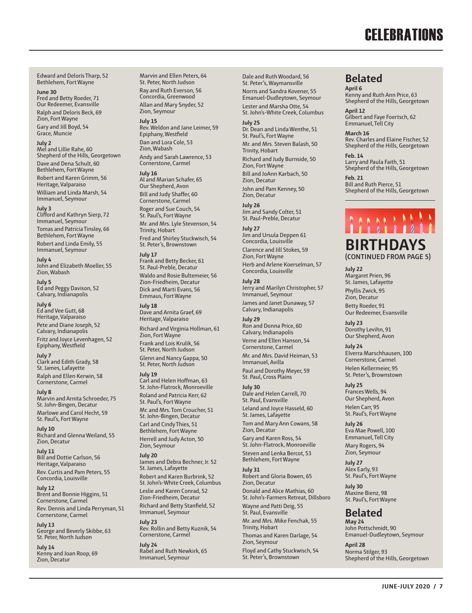## **CELEBRATIONS**

Edward and Deloris Tharp, 52 Bethlehem, Fort Wayne

**June 30** Fred and Betty Roeder, 71 Our Redeemer, Evansville Ralph and Deloris Beck, 69 Zion, Fort Wayne Gary and Jill Boyd, 54 Grace, Muncie

#### **July 2**

Mel and Lillie Rahe, 60 Shepherd of the Hills, Georgetown Dave and Dena Schult, 60 Bethlehem, Fort Wayne Robert and Karen Grimm, 56 Heritage, Valparaiso William and Linda Marsh, 54 Immanuel, Seymour

#### **July 3**

Clifford and Kathryn Sierp, 72 Immanuel, Seymour Tomas and Patricia Tinsley, 66 Bethlehem, Fort Wayne Robert and Linda Emily, 55 Immanuel, Seymour

**July 4** John and Elizabeth Moeller, 55 Zion, Wabash

**July 5** Ed and Peggy Davison, 52 Calvary, Indianapolis

**July 6** Ed and Vee Gutt, 68

Heritage, Valparaiso Pete and Diane Joseph, 52 Calvary, Indianapolis Fritz and Joyce Levenhagen, 52 Epiphany, Westfield

#### **July 7**

Clark and Edith Grady, 58 St. James, Lafayette Ralph and Ellen Kerwin, 58 Cornerstone, Carmel

**July 8** Marvin and Arnita Schroeder, 75 St. John-Bingen, Decatur Marlowe and Carol Hecht, 59 St. Paul's, Fort Wayne

**July 10** Richard and Glenna Weiland, 55 Zion, Decatur

**July 11** Bill and Dottie Carlson, 56 Heritage, Valparaiso

Rev. Curtis and Pam Peters, 55 Concordia, Louisville

**July 12** Brent and Bonnie Higgins, 51 Cornerstone, Carmel

Rev. Dennis and Linda Perryman, 51 Cornerstone, Carmel

**July 13** George and Beverly Skibbe, 63 St. Peter, North Judson

**July 14** Kenny and Joan Roop, 69 Zion, Decatur

Marvin and Ellen Peters, 64 St. Peter, North Judson Ray and Ruth Everson, 56 Concordia, Greenwood Allan and Mary Snyder, 52 Zion, Seymour

**July 15**

Rev. Weldon and Jane Leimer, 59 Epiphany, Westfield Dan and Lora Cole, 53 Zion, Wabash Andy and Sarah Lawrence, 53 Cornerstone, Carmel

#### **July 16**

Al and Marian Schafer, 65 Our Shepherd, Avon Bill and Judy Shaffer, 60 Cornerstone, Carmel Roger and Sue Couch, 54 St. Paul's, Fort Wayne Mr. and Mrs. Lyle Stevenson, 54 Trinity, Hobart Fred and Shirley Stuckwisch, 54 St. Peter's, Brownstown

**July 17**

Frank and Betty Becker, 61 St. Paul-Preble, Decatur Waldo and Rosie Bultemeier, 56 Zion-Friedheim, Decatur Dick and Marti Evans, 56 Emmaus, Fort Wayne

**July 18** Dave and Arnita Graef, 69 Heritage, Valparaiso

Richard and Virginia Hollman, 61 Zion, Fort Wayne Frank and Lois Krulik, 56 St. Peter, North Judson Glenn and Nancy Gappa, 50 St. Peter, North Judson

#### **July 19**

Carl and Helen Hoffman, 63 St. John-Flatrock, Monroeville Roland and Patricia Kerr, 62 St. Paul's, Fort Wayne Mr. and Mrs. Tom Croucher, 51 St. John-Bingen, Decatur Carl and Cindy Thies, 51 Bethlehem, Fort Wayne Herrell and Judy Acton, 50 Zion, Seymour

**July 20** James and Debra Bechner, Jr. 52 St. James, Lafayette Robert and Karen Burbrink, 52 St. John's-White Creek, Columbus Leslie and Karen Conrad, 52 Zion-Friedheim, Decatur Richard and Betty Stanfield, 52

Immanuel, Seymour **July 23**

Rev. Rollin and Betty Kuznik, 54 Cornerstone, Carmel

**July 24** Rabel and Ruth Newkirk, 65 Immanuel, Seymour

Dale and Ruth Woodard, 56 St. Peter's, Waymansville Norris and Sandra Kovener, 55 Emanuel-Dudleytown, Seymour Lester and Marsha Otte, 54 St. John's-White Creek, Columbus **July 25**

Dr. Dean and Linda Wenthe, 51 St. Paul's, Fort Wayne Mr. and Mrs. Steven Balash, 50 Trinity, Hobart Richard and Judy Burnside, 50 Zion, Fort Wayne Bill and JoAnn Karbach, 50 Zion, Decatur John and Pam Kenney, 50 Zion, Decatur

**July 26** Jim and Sandy Colter, 51 St. Paul-Preble, Decatur

**July 27** Jim and Ursula Deppen 61 Concordia, Louisville Clarence and Jill Stokes, 59 Zion, Fort Wayne Herb and Arlene Koerselman, 57 Concordia, Louisville

#### **July 28**

Jerry and Marilyn Christopher, 57 Immanuel, Seymour

James and Janet Dunaway, 57 Calvary, Indianapolis **July 29** Ron and Donna Price, 60 Calvary, Indianapolis Verne and Ellen Hanson, 54 Cornerstone, Carmel Mr. and Mrs. David Heiman, 53 Immanuel, Avilla

Paul and Dorothy Meyer, 59 St. Paul, Cross Plains

#### **July 30**

Dale and Helen Carrell, 70 St. Paul, Evansville Leland and Joyce Hasseld, 60 St. James, Lafayette Tom and Mary Ann Cowans, 58 Zion, Decatur

Gary and Karen Ross, 54 St. John-Flatrock, Monroeville Steven and Lenka Bercot, 53

Bethlehem, Fort Wayne **July 31** Robert and Gloria Bowen, 65 Zion, Decatur Donald and Alice Mathias, 60 St. John's-Farmers Retreat, Dillsboro

Wayne and Patti Deig, 55 St. Paul, Evansville Mr. and Mrs. Mike Fenchak, 55 Trinity, Hobart Thomas and Karen Darlage, 54 Zion, Seymour Floyd and Cathy Stuckwisch, 54 St. Peter's, Brownstown

#### **Belated**

**April 6** Kenny and Ruth Ann Price, 63 Shepherd of the Hills, Georgetown

**April 12** Gilbert and Faye Foertsch, 62 Emmanuel, Tell City

**March 16** Rev. Charles and Elaine Fischer, 52 Shepherd of the Hills, Georgetown

**Feb. 14** Larry and Paula Faith, 51 Shepherd of the Hills, Georgetown

**Feb. 21** Bill and Ruth Pierce, 51 Shepherd of the Hills, Georgetown

#### **BIRTHDAYS (CONTINUED FROM PAGE 5)**

**July 22**

Margaret Prien, 96 St. James, Lafayette Phyllis Zwick, 95 Zion, Decatur Betty Roeder, 91 Our Redeemer, Evansville

**July 23** Dorothy Levihn, 91 Our Shepherd, Avon

**July 24**

Elverra Marschhausen, 100 Cornerstone, Carmel Helen Kellermeier, 95 St. Peter's, Brownstown

**July 25** Frances Wells, 94 Our Shepherd, Avon Helen Carr, 95 St. Paul's, Fort Wayne

**July 26** Eva Mae Powell, 100 Emmanuel, Tell City

Mary Rogers, 94 Zion, Seymour

**July 27** Alex Early, 93 St. Paul's, Fort Wayne

**July 30** Maxine Bienz, 98 St. Paul's, Fort Wayne

#### **Belated**

**May 24** John Pottschmidt, 90 Emanuel-Dudleytown, Seymour

**April 28** Norma Stilger, 93 Shepherd of the Hills, Georgetown